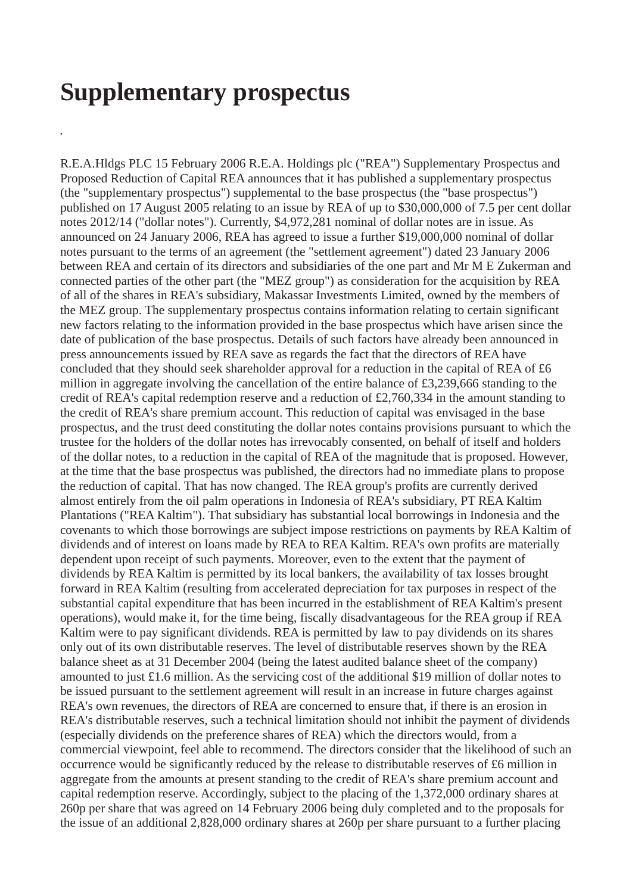## **Supplementary prospectus**

**,**

R.E.A.Hldgs PLC 15 February 2006 R.E.A. Holdings plc ("REA") Supplementary Prospectus and Proposed Reduction of Capital REA announces that it has published a supplementary prospectus (the "supplementary prospectus") supplemental to the base prospectus (the "base prospectus") published on 17 August 2005 relating to an issue by REA of up to \$30,000,000 of 7.5 per cent dollar notes 2012/14 ("dollar notes"). Currently, \$4,972,281 nominal of dollar notes are in issue. As announced on 24 January 2006, REA has agreed to issue a further \$19,000,000 nominal of dollar notes pursuant to the terms of an agreement (the "settlement agreement") dated 23 January 2006 between REA and certain of its directors and subsidiaries of the one part and Mr M E Zukerman and connected parties of the other part (the "MEZ group") as consideration for the acquisition by REA of all of the shares in REA's subsidiary, Makassar Investments Limited, owned by the members of the MEZ group. The supplementary prospectus contains information relating to certain significant new factors relating to the information provided in the base prospectus which have arisen since the date of publication of the base prospectus. Details of such factors have already been announced in press announcements issued by REA save as regards the fact that the directors of REA have concluded that they should seek shareholder approval for a reduction in the capital of REA of £6 million in aggregate involving the cancellation of the entire balance of £3,239,666 standing to the credit of REA's capital redemption reserve and a reduction of £2,760,334 in the amount standing to the credit of REA's share premium account. This reduction of capital was envisaged in the base prospectus, and the trust deed constituting the dollar notes contains provisions pursuant to which the trustee for the holders of the dollar notes has irrevocably consented, on behalf of itself and holders of the dollar notes, to a reduction in the capital of REA of the magnitude that is proposed. However, at the time that the base prospectus was published, the directors had no immediate plans to propose the reduction of capital. That has now changed. The REA group's profits are currently derived almost entirely from the oil palm operations in Indonesia of REA's subsidiary, PT REA Kaltim Plantations ("REA Kaltim"). That subsidiary has substantial local borrowings in Indonesia and the covenants to which those borrowings are subject impose restrictions on payments by REA Kaltim of dividends and of interest on loans made by REA to REA Kaltim. REA's own profits are materially dependent upon receipt of such payments. Moreover, even to the extent that the payment of dividends by REA Kaltim is permitted by its local bankers, the availability of tax losses brought forward in REA Kaltim (resulting from accelerated depreciation for tax purposes in respect of the substantial capital expenditure that has been incurred in the establishment of REA Kaltim's present operations), would make it, for the time being, fiscally disadvantageous for the REA group if REA Kaltim were to pay significant dividends. REA is permitted by law to pay dividends on its shares only out of its own distributable reserves. The level of distributable reserves shown by the REA balance sheet as at 31 December 2004 (being the latest audited balance sheet of the company) amounted to just £1.6 million. As the servicing cost of the additional \$19 million of dollar notes to be issued pursuant to the settlement agreement will result in an increase in future charges against REA's own revenues, the directors of REA are concerned to ensure that, if there is an erosion in REA's distributable reserves, such a technical limitation should not inhibit the payment of dividends (especially dividends on the preference shares of REA) which the directors would, from a commercial viewpoint, feel able to recommend. The directors consider that the likelihood of such an occurrence would be significantly reduced by the release to distributable reserves of £6 million in aggregate from the amounts at present standing to the credit of REA's share premium account and capital redemption reserve. Accordingly, subject to the placing of the 1,372,000 ordinary shares at 260p per share that was agreed on 14 February 2006 being duly completed and to the proposals for the issue of an additional 2,828,000 ordinary shares at 260p per share pursuant to a further placing